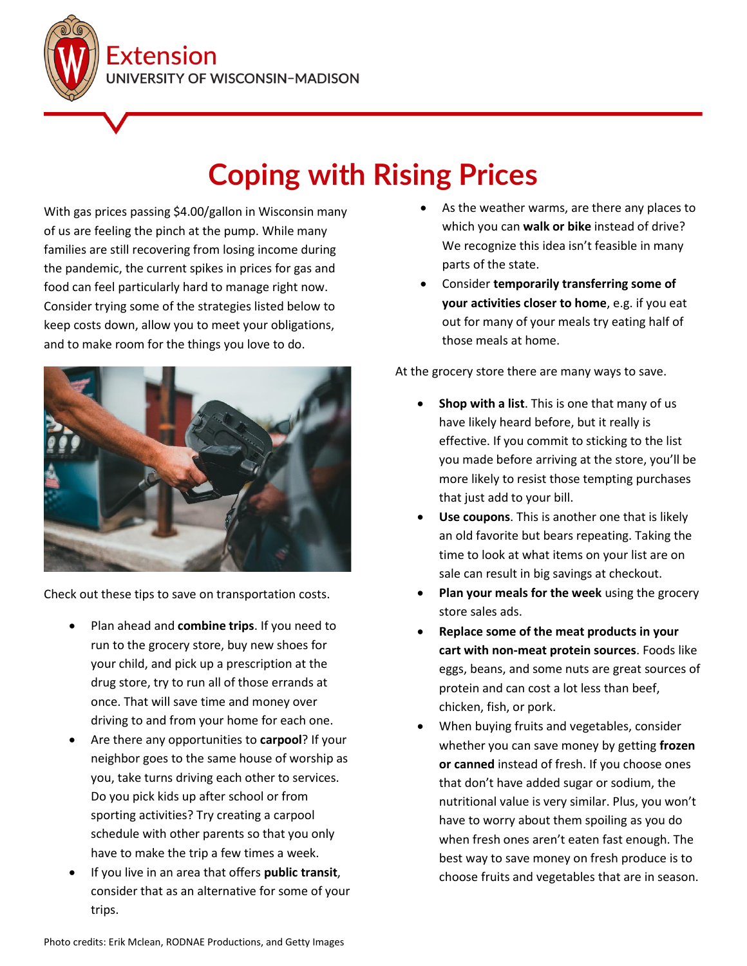**Extension INIVERSITY OF WISCONSIN-MADISON** 

## **Coping with Rising Prices**

With gas prices passing \$4.00/gallon in Wisconsin many of us are feeling the pinch at the pump. While many families are still recovering from losing income during the pandemic, the current spikes in prices for gas and food can feel particularly hard to manage right now. Consider trying some of the strategies listed below to keep costs down, allow you to meet your obligations, and to make room for the things you love to do.



Check out these tips to save on transportation costs.

- Plan ahead and **combine trips**. If you need to run to the grocery store, buy new shoes for your child, and pick up a prescription at the drug store, try to run all of those errands at once. That will save time and money over driving to and from your home for each one.
- Are there any opportunities to **carpool**? If your neighbor goes to the same house of worship as you, take turns driving each other to services. Do you pick kids up after school or from sporting activities? Try creating a carpool schedule with other parents so that you only have to make the trip a few times a week.
- If you live in an area that offers **public transit**, consider that as an alternative for some of your trips.
- As the weather warms, are there any places to which you can **walk or bike** instead of drive? We recognize this idea isn't feasible in many parts of the state.
- Consider **temporarily transferring some of your activities closer to home**, e.g. if you eat out for many of your meals try eating half of those meals at home.

At the grocery store there are many ways to save.

- **Shop with a list**. This is one that many of us have likely heard before, but it really is effective. If you commit to sticking to the list you made before arriving at the store, you'll be more likely to resist those tempting purchases that just add to your bill.
- **Use coupons**. This is another one that is likely an old favorite but bears repeating. Taking the time to look at what items on your list are on sale can result in big savings at checkout.
- **Plan your meals for the week** using the grocery store sales ads.
- **Replace some of the meat products in your cart with non-meat protein sources**. Foods like eggs, beans, and some nuts are great sources of protein and can cost a lot less than beef, chicken, fish, or pork.
- When buying fruits and vegetables, consider whether you can save money by getting **frozen or canned** instead of fresh. If you choose ones that don't have added sugar or sodium, the nutritional value is very similar. Plus, you won't have to worry about them spoiling as you do when fresh ones aren't eaten fast enough. The best way to save money on fresh produce is to choose fruits and vegetables that are in season.